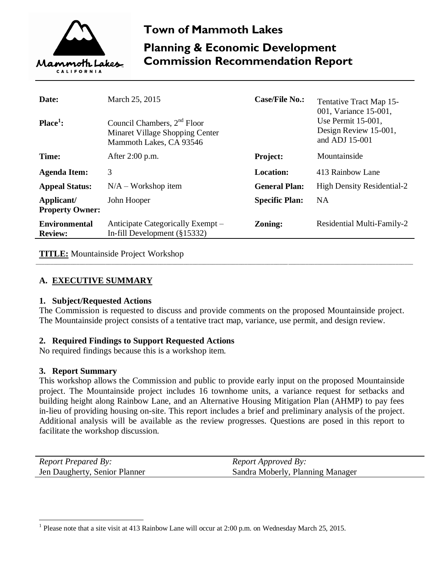

# **Town of Mammoth Lakes Planning & Economic Development Commission Recommendation Report**

| Date:<br>$Place1$ :                    | March 25, 2015<br>Council Chambers, $2nd$ Floor<br>Minaret Village Shopping Center<br>Mammoth Lakes, CA 93546 | <b>Case/File No.:</b> | Tentative Tract Map 15-<br>001, Variance 15-001,<br>Use Permit 15-001,<br>Design Review 15-001,<br>and ADJ 15-001 |
|----------------------------------------|---------------------------------------------------------------------------------------------------------------|-----------------------|-------------------------------------------------------------------------------------------------------------------|
| Time:                                  | After 2:00 p.m.                                                                                               | <b>Project:</b>       | Mountainside                                                                                                      |
| <b>Agenda Item:</b>                    | 3                                                                                                             | <b>Location:</b>      | 413 Rainbow Lane                                                                                                  |
| <b>Appeal Status:</b>                  | $N/A - Workshop$ item                                                                                         | <b>General Plan:</b>  | <b>High Density Residential-2</b>                                                                                 |
| Applicant/<br><b>Property Owner:</b>   | John Hooper                                                                                                   | <b>Specific Plan:</b> | <b>NA</b>                                                                                                         |
| <b>Environmental</b><br><b>Review:</b> | Anticipate Categorically Exempt –<br>In-fill Development $(\S 15332)$                                         | Zoning:               | Residential Multi-Family-2                                                                                        |

**TITLE:** Mountainside Project Workshop

### **A. EXECUTIVE SUMMARY**

### **1. Subject/Requested Actions**

The Commission is requested to discuss and provide comments on the proposed Mountainside project. The Mountainside project consists of a tentative tract map, variance, use permit, and design review.

\_\_\_\_\_\_\_\_\_\_\_\_\_\_\_\_\_\_\_\_\_\_\_\_\_\_\_\_\_\_\_\_\_\_\_\_\_\_\_\_\_\_\_\_\_\_\_\_\_\_\_\_\_\_\_\_\_\_\_\_\_\_\_\_\_\_\_\_\_\_\_\_\_\_\_\_\_\_\_\_\_\_\_\_\_\_\_\_\_\_\_\_\_\_\_\_\_\_\_\_\_\_\_\_\_\_\_\_\_\_\_\_\_\_\_\_\_\_\_\_\_\_\_\_\_\_\_\_\_\_

### **2. Required Findings to Support Requested Actions**

No required findings because this is a workshop item.

### **3. Report Summary**

 $\overline{a}$ 

This workshop allows the Commission and public to provide early input on the proposed Mountainside project. The Mountainside project includes 16 townhome units, a variance request for setbacks and building height along Rainbow Lane, and an Alternative Housing Mitigation Plan (AHMP) to pay fees in-lieu of providing housing on-site. This report includes a brief and preliminary analysis of the project. Additional analysis will be available as the review progresses. Questions are posed in this report to facilitate the workshop discussion.

| <i>Report Prepared By:</i>    | <i>Report Approved By:</i>       |
|-------------------------------|----------------------------------|
| Jen Daugherty, Senior Planner | Sandra Moberly, Planning Manager |

<sup>1</sup> Please note that a site visit at 413 Rainbow Lane will occur at 2:00 p.m. on Wednesday March 25, 2015.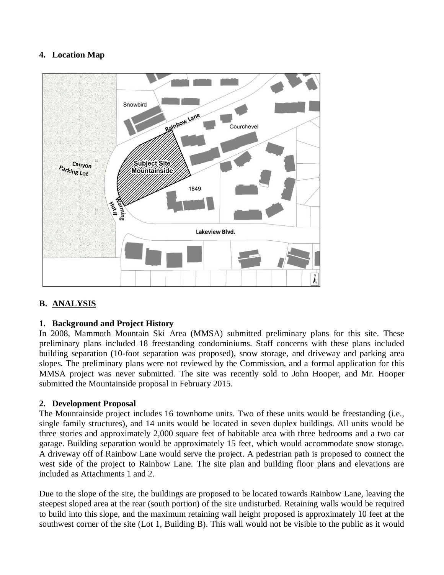### **4. Location Map**



### **B. ANALYSIS**

### **1. Background and Project History**

In 2008, Mammoth Mountain Ski Area (MMSA) submitted preliminary plans for this site. These preliminary plans included 18 freestanding condominiums. Staff concerns with these plans included building separation (10-foot separation was proposed), snow storage, and driveway and parking area slopes. The preliminary plans were not reviewed by the Commission, and a formal application for this MMSA project was never submitted. The site was recently sold to John Hooper, and Mr. Hooper submitted the Mountainside proposal in February 2015.

### **2. Development Proposal**

The Mountainside project includes 16 townhome units. Two of these units would be freestanding (i.e., single family structures), and 14 units would be located in seven duplex buildings. All units would be three stories and approximately 2,000 square feet of habitable area with three bedrooms and a two car garage. Building separation would be approximately 15 feet, which would accommodate snow storage. A driveway off of Rainbow Lane would serve the project. A pedestrian path is proposed to connect the west side of the project to Rainbow Lane. The site plan and building floor plans and elevations are included as Attachments 1 and 2.

Due to the slope of the site, the buildings are proposed to be located towards Rainbow Lane, leaving the steepest sloped area at the rear (south portion) of the site undisturbed. Retaining walls would be required to build into this slope, and the maximum retaining wall height proposed is approximately 10 feet at the southwest corner of the site (Lot 1, Building B). This wall would not be visible to the public as it would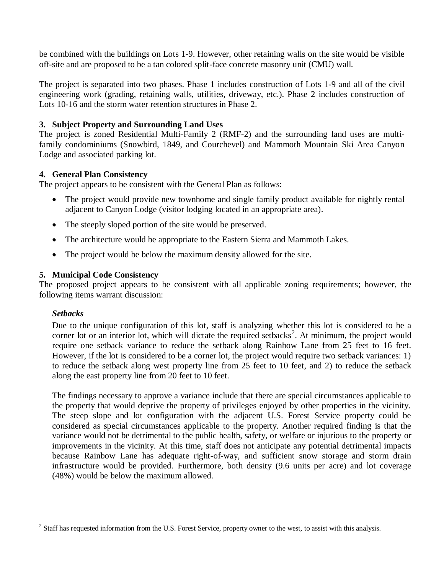be combined with the buildings on Lots 1-9. However, other retaining walls on the site would be visible off-site and are proposed to be a tan colored split-face concrete masonry unit (CMU) wall.

The project is separated into two phases. Phase 1 includes construction of Lots 1-9 and all of the civil engineering work (grading, retaining walls, utilities, driveway, etc.). Phase 2 includes construction of Lots 10-16 and the storm water retention structures in Phase 2.

### **3. Subject Property and Surrounding Land Uses**

The project is zoned Residential Multi-Family 2 (RMF-2) and the surrounding land uses are multifamily condominiums (Snowbird, 1849, and Courchevel) and Mammoth Mountain Ski Area Canyon Lodge and associated parking lot.

### **4. General Plan Consistency**

The project appears to be consistent with the General Plan as follows:

- The project would provide new townhome and single family product available for nightly rental adjacent to Canyon Lodge (visitor lodging located in an appropriate area).
- The steeply sloped portion of the site would be preserved.
- The architecture would be appropriate to the Eastern Sierra and Mammoth Lakes.
- The project would be below the maximum density allowed for the site.

### **5. Municipal Code Consistency**

The proposed project appears to be consistent with all applicable zoning requirements; however, the following items warrant discussion:

### *Setbacks*

 $\overline{a}$ 

Due to the unique configuration of this lot, staff is analyzing whether this lot is considered to be a corner lot or an interior lot, which will dictate the required setbacks<sup>2</sup>. At minimum, the project would require one setback variance to reduce the setback along Rainbow Lane from 25 feet to 16 feet. However, if the lot is considered to be a corner lot, the project would require two setback variances: 1) to reduce the setback along west property line from 25 feet to 10 feet, and 2) to reduce the setback along the east property line from 20 feet to 10 feet.

The findings necessary to approve a variance include that there are special circumstances applicable to the property that would deprive the property of privileges enjoyed by other properties in the vicinity. The steep slope and lot configuration with the adjacent U.S. Forest Service property could be considered as special circumstances applicable to the property. Another required finding is that the variance would not be detrimental to the public health, safety, or welfare or injurious to the property or improvements in the vicinity. At this time, staff does not anticipate any potential detrimental impacts because Rainbow Lane has adequate right-of-way, and sufficient snow storage and storm drain infrastructure would be provided. Furthermore, both density (9.6 units per acre) and lot coverage (48%) would be below the maximum allowed.

 $2^{2}$  Staff has requested information from the U.S. Forest Service, property owner to the west, to assist with this analysis.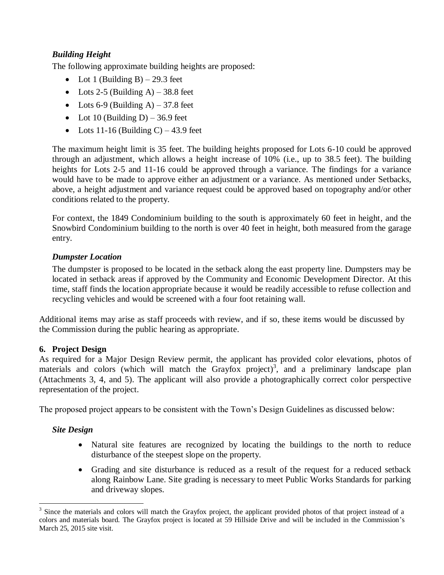### *Building Height*

The following approximate building heights are proposed:

- Lot 1 (Building B) 29.3 feet
- Lots 2-5 (Building A)  $-38.8$  feet
- Lots 6-9 (Building A) 37.8 feet
- Lot 10 (Building D) 36.9 feet
- Lots 11-16 (Building C) 43.9 feet

The maximum height limit is 35 feet. The building heights proposed for Lots 6-10 could be approved through an adjustment, which allows a height increase of 10% (i.e., up to 38.5 feet). The building heights for Lots 2-5 and 11-16 could be approved through a variance. The findings for a variance would have to be made to approve either an adjustment or a variance. As mentioned under Setbacks, above, a height adjustment and variance request could be approved based on topography and/or other conditions related to the property.

For context, the 1849 Condominium building to the south is approximately 60 feet in height, and the Snowbird Condominium building to the north is over 40 feet in height, both measured from the garage entry.

## *Dumpster Location*

The dumpster is proposed to be located in the setback along the east property line. Dumpsters may be located in setback areas if approved by the Community and Economic Development Director. At this time, staff finds the location appropriate because it would be readily accessible to refuse collection and recycling vehicles and would be screened with a four foot retaining wall.

Additional items may arise as staff proceeds with review, and if so, these items would be discussed by the Commission during the public hearing as appropriate.

# **6. Project Design**

As required for a Major Design Review permit, the applicant has provided color elevations, photos of materials and colors (which will match the Grayfox project)<sup>3</sup>, and a preliminary landscape plan (Attachments 3, 4, and 5). The applicant will also provide a photographically correct color perspective representation of the project.

The proposed project appears to be consistent with the Town's Design Guidelines as discussed below:

# *Site Design*

- Natural site features are recognized by locating the buildings to the north to reduce disturbance of the steepest slope on the property.
- Grading and site disturbance is reduced as a result of the request for a reduced setback along Rainbow Lane. Site grading is necessary to meet Public Works Standards for parking and driveway slopes.

 $\overline{a}$  $3$  Since the materials and colors will match the Grayfox project, the applicant provided photos of that project instead of a colors and materials board. The Grayfox project is located at 59 Hillside Drive and will be included in the Commission's March 25, 2015 site visit.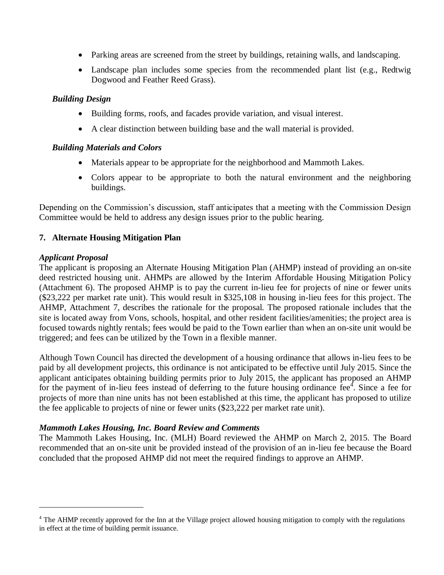- Parking areas are screened from the street by buildings, retaining walls, and landscaping.
- Landscape plan includes some species from the recommended plant list (e.g., Redtwig Dogwood and Feather Reed Grass).

### *Building Design*

- Building forms, roofs, and facades provide variation, and visual interest.
- A clear distinction between building base and the wall material is provided.

### *Building Materials and Colors*

- Materials appear to be appropriate for the neighborhood and Mammoth Lakes.
- Colors appear to be appropriate to both the natural environment and the neighboring buildings.

Depending on the Commission's discussion, staff anticipates that a meeting with the Commission Design Committee would be held to address any design issues prior to the public hearing.

### **7. Alternate Housing Mitigation Plan**

### *Applicant Proposal*

 $\overline{a}$ 

The applicant is proposing an Alternate Housing Mitigation Plan (AHMP) instead of providing an on-site deed restricted housing unit. AHMPs are allowed by the Interim Affordable Housing Mitigation Policy (Attachment 6). The proposed AHMP is to pay the current in-lieu fee for projects of nine or fewer units (\$23,222 per market rate unit). This would result in \$325,108 in housing in-lieu fees for this project. The AHMP, Attachment 7, describes the rationale for the proposal. The proposed rationale includes that the site is located away from Vons, schools, hospital, and other resident facilities/amenities; the project area is focused towards nightly rentals; fees would be paid to the Town earlier than when an on-site unit would be triggered; and fees can be utilized by the Town in a flexible manner.

Although Town Council has directed the development of a housing ordinance that allows in-lieu fees to be paid by all development projects, this ordinance is not anticipated to be effective until July 2015. Since the applicant anticipates obtaining building permits prior to July 2015, the applicant has proposed an AHMP for the payment of in-lieu fees instead of deferring to the future housing ordinance  $\text{fee}^4$ . Since a fee for projects of more than nine units has not been established at this time, the applicant has proposed to utilize the fee applicable to projects of nine or fewer units (\$23,222 per market rate unit).

### *Mammoth Lakes Housing, Inc. Board Review and Comments*

The Mammoth Lakes Housing, Inc. (MLH) Board reviewed the AHMP on March 2, 2015. The Board recommended that an on-site unit be provided instead of the provision of an in-lieu fee because the Board concluded that the proposed AHMP did not meet the required findings to approve an AHMP.

<sup>&</sup>lt;sup>4</sup> The AHMP recently approved for the Inn at the Village project allowed housing mitigation to comply with the regulations in effect at the time of building permit issuance.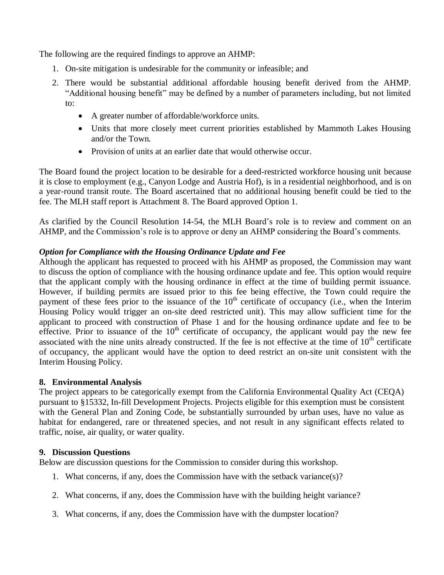The following are the required findings to approve an AHMP:

- 1. On-site mitigation is undesirable for the community or infeasible; and
- 2. There would be substantial additional affordable housing benefit derived from the AHMP. "Additional housing benefit" may be defined by a number of parameters including, but not limited to:
	- A greater number of affordable/workforce units.
	- Units that more closely meet current priorities established by Mammoth Lakes Housing and/or the Town.
	- Provision of units at an earlier date that would otherwise occur.

The Board found the project location to be desirable for a deed-restricted workforce housing unit because it is close to employment (e.g., Canyon Lodge and Austria Hof), is in a residential neighborhood, and is on a year-round transit route. The Board ascertained that no additional housing benefit could be tied to the fee. The MLH staff report is Attachment 8. The Board approved Option 1.

As clarified by the Council Resolution 14-54, the MLH Board's role is to review and comment on an AHMP, and the Commission's role is to approve or deny an AHMP considering the Board's comments.

### *Option for Compliance with the Housing Ordinance Update and Fee*

Although the applicant has requested to proceed with his AHMP as proposed, the Commission may want to discuss the option of compliance with the housing ordinance update and fee. This option would require that the applicant comply with the housing ordinance in effect at the time of building permit issuance. However, if building permits are issued prior to this fee being effective, the Town could require the payment of these fees prior to the issuance of the  $10<sup>th</sup>$  certificate of occupancy (i.e., when the Interim Housing Policy would trigger an on-site deed restricted unit). This may allow sufficient time for the applicant to proceed with construction of Phase 1 and for the housing ordinance update and fee to be effective. Prior to issuance of the  $10<sup>th</sup>$  certificate of occupancy, the applicant would pay the new fee associated with the nine units already constructed. If the fee is not effective at the time of  $10<sup>th</sup>$  certificate of occupancy, the applicant would have the option to deed restrict an on-site unit consistent with the Interim Housing Policy.

### **8. Environmental Analysis**

The project appears to be categorically exempt from the California Environmental Quality Act (CEQA) pursuant to §15332, In-fill Development Projects. Projects eligible for this exemption must be consistent with the General Plan and Zoning Code, be substantially surrounded by urban uses, have no value as habitat for endangered, rare or threatened species, and not result in any significant effects related to traffic, noise, air quality, or water quality.

### **9. Discussion Questions**

Below are discussion questions for the Commission to consider during this workshop.

- 1. What concerns, if any, does the Commission have with the setback variance(s)?
- 2. What concerns, if any, does the Commission have with the building height variance?
- 3. What concerns, if any, does the Commission have with the dumpster location?